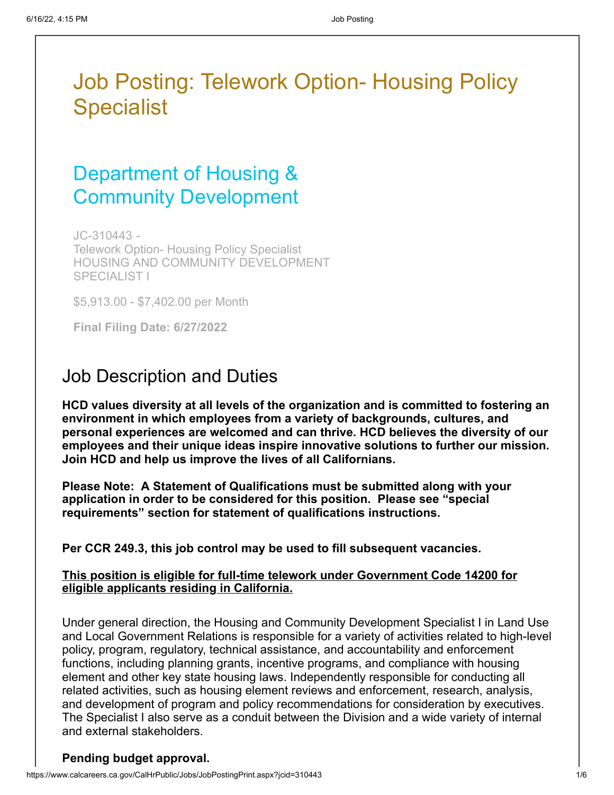# Job Posting: Telework Option- Housing Policy **Specialist**

# Department of Housing & Community Development

JC-310443 - Telework Option- Housing Policy Specialist HOUSING AND COMMUNITY DEVELOPMENT SPECIALIST I

\$5,913.00 - \$7,402.00 per Month

**Final Filing Date: 6/27/2022**

### Job Description and Duties

**HCD values diversity at all levels of the organization and is committed to fostering an environment in which employees from a variety of backgrounds, cultures, and personal experiences are welcomed and can thrive. HCD believes the diversity of our employees and their unique ideas inspire innovative solutions to further our mission. Join HCD and help us improve the lives of all Californians.**

**Please Note: A Statement of Qualifications must be submitted along with your application in order to be considered for this position. Please see "special requirements" section for statement of qualifications instructions.**

**Per CCR 249.3, this job control may be used to fill subsequent vacancies.**

#### **This position is eligible for full-time telework under Government Code 14200 for eligible applicants residing in California.**

Under general direction, the Housing and Community Development Specialist I in Land Use and Local Government Relations is responsible for a variety of activities related to high-level policy, program, regulatory, technical assistance, and accountability and enforcement functions, including planning grants, incentive programs, and compliance with housing element and other key state housing laws. Independently responsible for conducting all related activities, such as housing element reviews and enforcement, research, analysis, and development of program and policy recommendations for consideration by executives. The Specialist I also serve as a conduit between the Division and a wide variety of internal and external stakeholders.

#### **Pending budget approval.**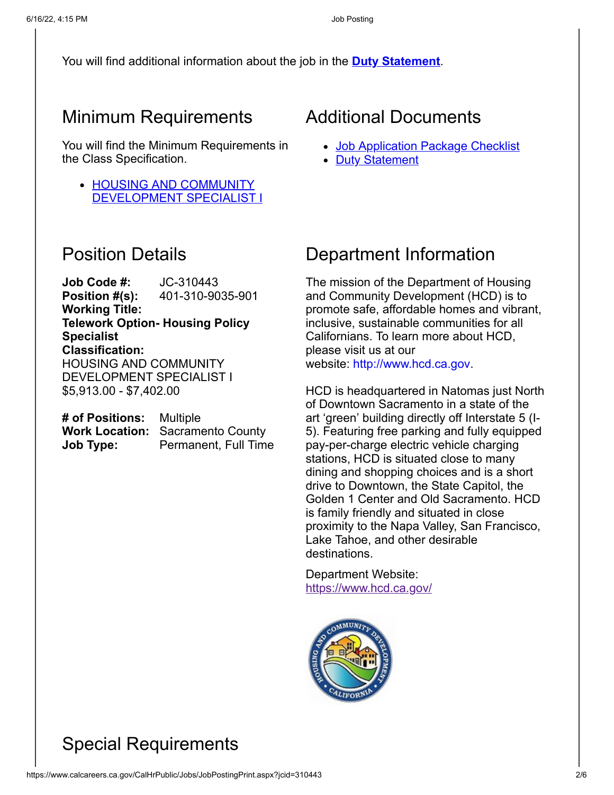You will find additional information about the job in the **[Duty Statement](https://www.calcareers.ca.gov/CalHrPublic/FileDownload.aspx?aid=16721152&name=DS_401-310-9035-901.pdf)**.

### Minimum Requirements

You will find the Minimum Requirements in the Class Specification.

• HOUSING AND COMMUNITY [DEVELOPMENT SPECIALIST I](https://hrnet.calhr.ca.gov/CalHRNet/SpecCrossReference.aspx?ClassID=9035)

### Position Details

**Job Code #:** JC-310443 **Position #(s):** 401-310-9035-901 **Working Title: Telework Option- Housing Policy Specialist Classification:** HOUSING AND COMMUNITY DEVELOPMENT SPECIALIST I \$5,913.00 - \$7,402.00

| # of Positions: Multiple |                                         |
|--------------------------|-----------------------------------------|
|                          | <b>Work Location: Sacramento County</b> |
| Job Type:                | Permanent, Full Time                    |

### Additional Documents

- [Job Application Package Checklist](http://calcareers.ca.gov/CalHrPublic/Jobs/JobApplicationPackageChecklist.aspx?JobControlId=310443)
- [Duty Statement](https://www.calcareers.ca.gov/CalHrPublic/FileDownload.aspx?aid=16721152&name=DS_401-310-9035-901.pdf)

### Department Information

The mission of the Department of Housing and Community Development (HCD) is to promote safe, affordable homes and vibrant, inclusive, sustainable communities for all Californians. To learn more about HCD, please visit us at our website: [http://www.hcd.ca.gov](http://www.hcd.ca.gov/).

HCD is headquartered in Natomas just North of Downtown Sacramento in a state of the art 'green' building directly off Interstate 5 (I-5). Featuring free parking and fully equipped pay-per-charge electric vehicle charging stations, HCD is situated close to many dining and shopping choices and is a short drive to Downtown, the State Capitol, the Golden 1 Center and Old Sacramento. HCD is family friendly and situated in close proximity to the Napa Valley, San Francisco, Lake Tahoe, and other desirable destinations.

Department Website: <https://www.hcd.ca.gov/>



## Special Requirements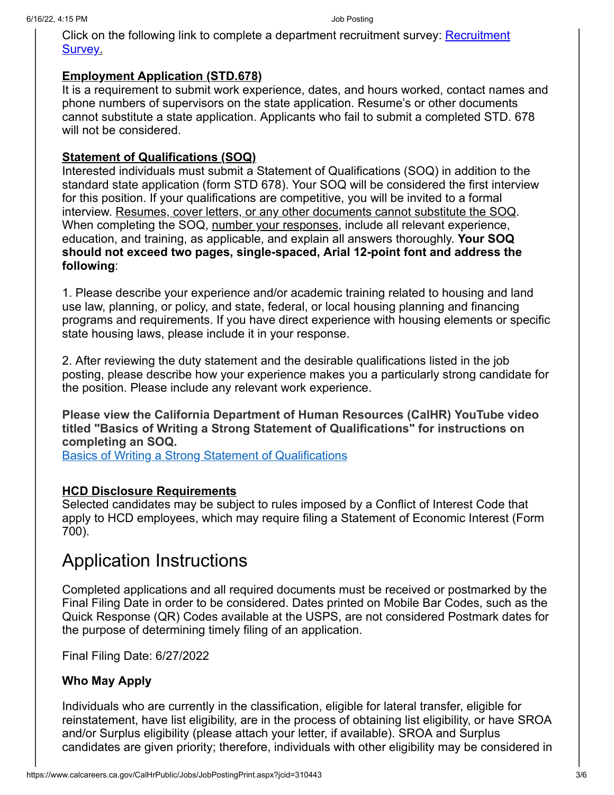[Click on the following link to complete a department recruitment survey:](https://www.surveymonkey.com/r/HCD_Recruitment_Survey) Recruitment Survey.

#### **Employment Application (STD.678)**

It is a requirement to submit work experience, dates, and hours worked, contact names and phone numbers of supervisors on the state application. Resume's or other documents cannot substitute a state application. Applicants who fail to submit a completed STD. 678 will not be considered.

#### **Statement of Qualifications (SOQ)**

Interested individuals must submit a Statement of Qualifications (SOQ) in addition to the standard state application (form STD 678). Your SOQ will be considered the first interview for this position. If your qualifications are competitive, you will be invited to a formal interview. Resumes, cover letters, or any other documents cannot substitute the SOQ. When completing the SOQ, number your responses, include all relevant experience, education, and training, as applicable, and explain all answers thoroughly. **Your SOQ should not exceed two pages, single-spaced, Arial 12-point font and address the following**:

1. Please describe your experience and/or academic training related to housing and land use law, planning, or policy, and state, federal, or local housing planning and financing programs and requirements. If you have direct experience with housing elements or specific state housing laws, please include it in your response.

2. After reviewing the duty statement and the desirable qualifications listed in the job posting, please describe how your experience makes you a particularly strong candidate for the position. Please include any relevant work experience.

**Please view the California Department of Human Resources (CalHR) YouTube video titled "Basics of Writing a Strong Statement of Qualifications" for instructions on completing an SOQ.**

[Basics of Writing a Strong Statement of Qualifications](https://www.youtube.com/watch?v=4wVq15zy470&list=PLzDGQ8ghGbWxqEwFMCi7aEix6NzdWIoTI&t=0s&index=2)

#### **HCD Disclosure Requirements**

Selected candidates may be subject to rules imposed by a Conflict of Interest Code that apply to HCD employees, which may require filing a Statement of Economic Interest (Form 700).

### Application Instructions

Completed applications and all required documents must be received or postmarked by the Final Filing Date in order to be considered. Dates printed on Mobile Bar Codes, such as the Quick Response (QR) Codes available at the USPS, are not considered Postmark dates for the purpose of determining timely filing of an application.

Final Filing Date: 6/27/2022

#### **Who May Apply**

Individuals who are currently in the classification, eligible for lateral transfer, eligible for reinstatement, have list eligibility, are in the process of obtaining list eligibility, or have SROA and/or Surplus eligibility (please attach your letter, if available). SROA and Surplus candidates are given priority; therefore, individuals with other eligibility may be considered in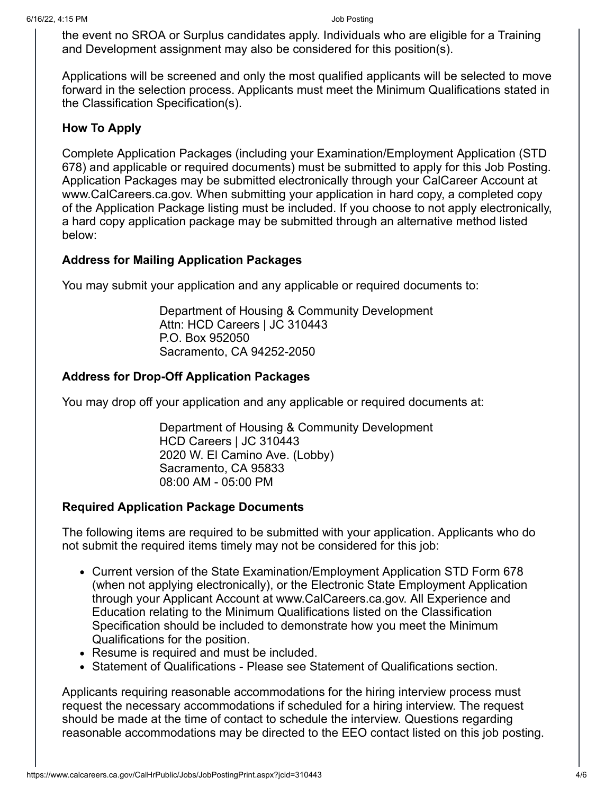the event no SROA or Surplus candidates apply. Individuals who are eligible for a Training and Development assignment may also be considered for this position(s).

Applications will be screened and only the most qualified applicants will be selected to move forward in the selection process. Applicants must meet the Minimum Qualifications stated in the Classification Specification(s).

#### **How To Apply**

Complete Application Packages (including your Examination/Employment Application (STD 678) and applicable or required documents) must be submitted to apply for this Job Posting. Application Packages may be submitted electronically through your CalCareer Account at www.CalCareers.ca.gov. When submitting your application in hard copy, a completed copy of the Application Package listing must be included. If you choose to not apply electronically, a hard copy application package may be submitted through an alternative method listed below:

### **Address for Mailing Application Packages**

You may submit your application and any applicable or required documents to:

Department of Housing & Community Development Attn: HCD Careers | JC 310443 P.O. Box 952050 Sacramento, CA 94252-2050

### **Address for Drop-Off Application Packages**

You may drop off your application and any applicable or required documents at:

Department of Housing & Community Development HCD Careers | JC 310443 2020 W. El Camino Ave. (Lobby) Sacramento, CA 95833 08:00 AM - 05:00 PM

#### **Required Application Package Documents**

The following items are required to be submitted with your application. Applicants who do not submit the required items timely may not be considered for this job:

- Current version of the State Examination/Employment Application STD Form 678 (when not applying electronically), or the Electronic State Employment Application through your Applicant Account at www.CalCareers.ca.gov. All Experience and Education relating to the Minimum Qualifications listed on the Classification Specification should be included to demonstrate how you meet the Minimum Qualifications for the position.
- Resume is required and must be included.
- Statement of Qualifications Please see Statement of Qualifications section.

Applicants requiring reasonable accommodations for the hiring interview process must request the necessary accommodations if scheduled for a hiring interview. The request should be made at the time of contact to schedule the interview. Questions regarding reasonable accommodations may be directed to the EEO contact listed on this job posting.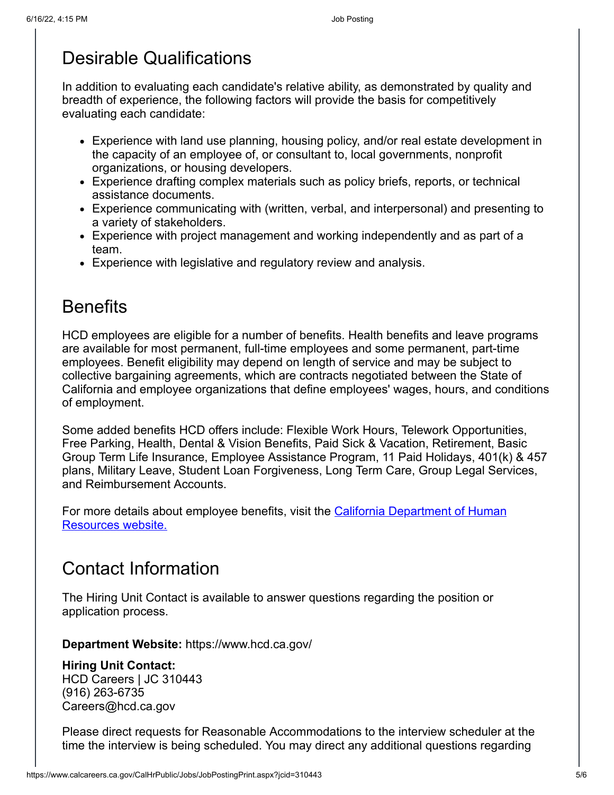### Desirable Qualifications

In addition to evaluating each candidate's relative ability, as demonstrated by quality and breadth of experience, the following factors will provide the basis for competitively evaluating each candidate:

- Experience with land use planning, housing policy, and/or real estate development in the capacity of an employee of, or consultant to, local governments, nonprofit organizations, or housing developers.
- Experience drafting complex materials such as policy briefs, reports, or technical assistance documents.
- Experience communicating with (written, verbal, and interpersonal) and presenting to a variety of stakeholders.
- Experience with project management and working independently and as part of a team.
- Experience with legislative and regulatory review and analysis.

## **Benefits**

HCD employees are eligible for a number of benefits. Health benefits and leave programs are available for most permanent, full-time employees and some permanent, part-time employees. Benefit eligibility may depend on length of service and may be subject to collective bargaining agreements, which are contracts negotiated between the State of California and employee organizations that define employees' wages, hours, and conditions of employment.

Some added benefits HCD offers include: Flexible Work Hours, Telework Opportunities, Free Parking, Health, Dental & Vision Benefits, Paid Sick & Vacation, Retirement, Basic Group Term Life Insurance, Employee Assistance Program, 11 Paid Holidays, 401(k) & 457 plans, Military Leave, Student Loan Forgiveness, Long Term Care, Group Legal Services, and Reimbursement Accounts.

[For more details about employee benefits, visit the California Department of Human](https://www.calhr.ca.gov/employees/Pages/salary-and-benefits.aspx) Resources website.

# Contact Information

The Hiring Unit Contact is available to answer questions regarding the position or application process.

**Department Website:** https://www.hcd.ca.gov/

#### **Hiring Unit Contact:**

HCD Careers | JC 310443 (916) 263-6735 Careers@hcd.ca.gov

Please direct requests for Reasonable Accommodations to the interview scheduler at the time the interview is being scheduled. You may direct any additional questions regarding